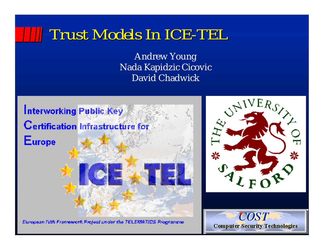#### *Trust Models In ICE-TEL Trust Models In ICE-TEL*

Andrew Young Nada Kapidzic Cicovic David Chadwick



European IVth Framework Project under the TELEMATICS Programme



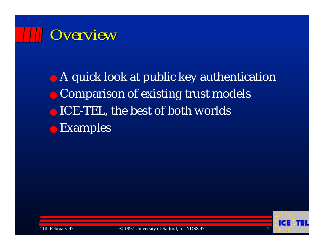# *Overview Overview*

● A quick look at public key authentication ● Comparison of existing trust models ● ICE-TEL, the best of both worlds ● Examples

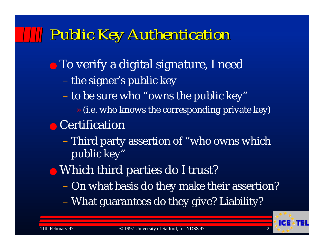### *Public Key Authentication Public Key Authentication*

- To verify a digital signature, I need
	- the signer's public key
	- to be sure who "owns the public key"
		- » (i.e. who knows the corresponding private key)
- Certification
	- – Third party assertion of "who owns which public key"
- Which third parties do I trust?
	- On what basis do they make their assertion?
	- What guarantees do they give? Liability?

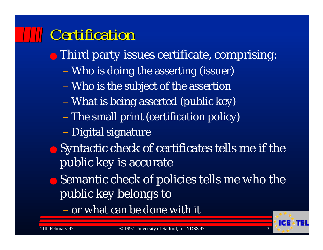## *Certification Certification*

- Third party issues certificate, comprising:
	- Who is doing the asserting (issuer)
	- Who is the subject of the assertion
	- What is being asserted (public key)
	- The small print (certification policy)
	- Digital signature
- Syntactic check of certificates tells me if the public key is accurate
- Semantic check of policies tells me who the public key belongs to

– or what can be done with it

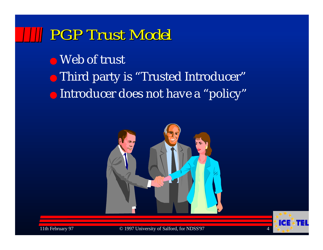#### *PGP Trust Model PGP Trust Model*

● Web of trust

- Third party is "Trusted Introducer"
- Introducer does not have a "policy"





11th February 97 © 1997 University of Salford, for NDSS'97 4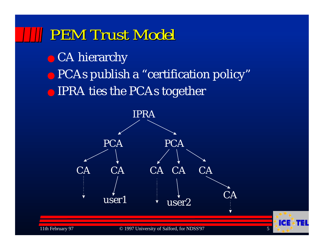#### *PEM Trust Model PEM Trust Model*

● CA hierarchy

● PCAs publish a "certification policy"

● IPRA ties the PCAs together

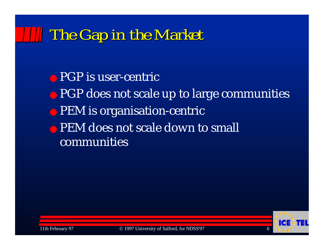#### *The Gap in the Market The Gap in the Market*

● PGP is user-centric ● PGP does not scale up to large communities ● PEM is organisation-centric • PEM does not scale down to small communities

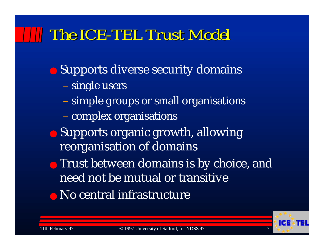## *The ICE-TEL Trust Model The ICE-TEL Trust Model*

● Supports diverse security domains single users simple groups or small organisations – complex organisations ● Supports organic growth, allowing reorganisation of domains ● Trust between domains is by choice, and need not be mutual or transitive● No central infrastructure

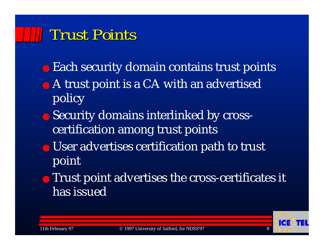#### *Trust Points Trust Points*

- Each security domain contains trust points
- A trust point is a CA with an advertised policy
- Security domains interlinked by crosscertification among trust points
- User advertises certification path to trust point
- **Trust point advertises the cross-certificates it** has issued

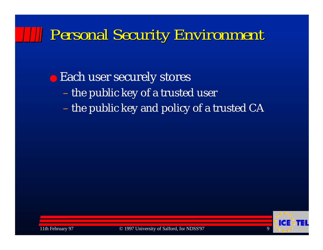### *Personal Security Environment Personal Security Environment*

● Each user securely stores – the public key of a trusted user – the public key and policy of a trusted CA



11th February 97 © 1997 University of Salford, for NDSS'97 9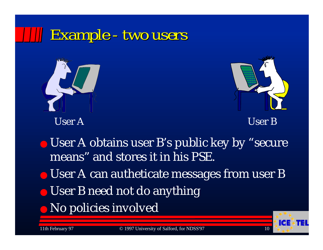## *Example - two users Example - two users*





User A User B

● User A obtains user B's public key by "secure means" and stores it in his PSE.

● User A can autheticate messages from user B

- User B need not do anything
- ●No policies involved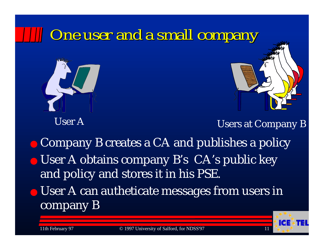

User A

Users at Company B

● Company B creates a CA and publishes a policy ● User A obtains company B's CA's public key and policy and stores it in his PSE.

● User A can autheticate messages from users in company B

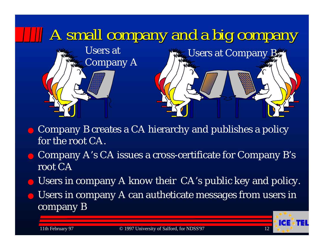

- Company B creates a CA hierarchy and publishes a policy for the root CA.
- Company A's CA issues a cross-certificate for Company B's root CA
- Users in company A know their CA's public key and policy.
- $\bullet\,$  Users in company A can autheticate messages from users in company B

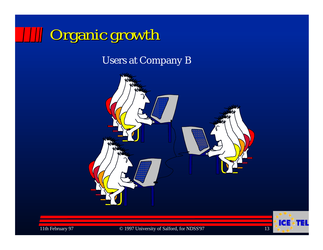

Users at Company B



11th February 97 **C** 1997 University of Salford, for NDSS'97 13

<u>ida</u>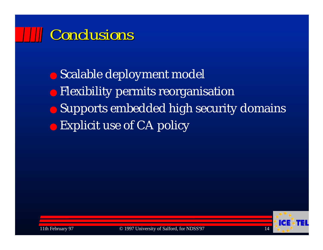## *Conclusions Conclusions*

● Scalable deployment model ● Flexibility permits reorganisation ● Supports embedded high security domains ● Explicit use of CA policy



11th February 97 © 1997 University of Salford, for NDSS'97 14